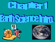

#### FFIEN K. S



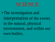## SCIENCE

•The investigation and interpretation of the events in the natural, physical environment, and within our own bodies.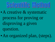## Seientije Method

- •A creative & systematic process for proving or disproving a given question.
- •An organized plan, (steps).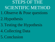STEPS OF THE SCIENTIFIC METHOD 1.Observe & Pose questions

- 2.Hypothesis
- 3.Testing the Hypothesis
- 4.Collecting Data
- 5.Conclusion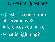## 1. Posing Questions

•Questions come from observations & inferences you make.

•What is lightning?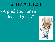### 2. HYPOTHESIS

•A prediction or an "educated guess"

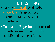3. TESTING • Gather Materials & develop Procedures (step by step instructions) to test your hypothesis. • Controlled Experiment- a test of a hypothesis under conditions established by the scientist.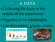#### 4. DATA

- •Collecting the facts or the results of the experiment.
- Organize to be meaningful.
- Use data tables, graphs, charts.



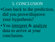5. CONCLUSION •Goes back to the prediction, did you prove/disprove your hypothesis?

• You interpret & analyze data to arrive at your conclusion.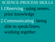SCIENCE-PROCESS SKILLS 1.Observing- using senses, prior knowledge 2.Communicating- being able to speak/listen, working together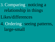3. Comparing- noticing a relationship in things

Likes/differences

4. Ordering- seeing patterns, large-smal[l](http://images.google.com/imgres?imgurl=http://images.foodnetwork.com/webfood/images/cooking/fruitandveggieguide/apples.jpg&imgrefurl=http://www.foodnetwork.com/food/cooking/text/0,1971,FOOD_9819_36711,00.html&h=270&w=393&sz=23&hl=en&start=4&tbnid=C3ta2rn9bJGHzM:&tbnh=85&tbnw=124&prev=/images%3Fq%3Dapples%26svnum%3D10%26hl%3Den%26lr%3D)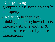5. Categorizinggrouping/classifying objects by a property.

6. Relating- higher level thinking, noticing how objects interact with one another & changes are caused by these interactions.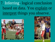7. Inferring- logical conclusion based on data. You explain or interpret things you observe.



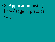## •8. Application- using knowledge in practical

ways.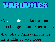

### •A variable is a factor that can change in an experiment.

•Ex: Straw Plane- can change the lengths of your loops.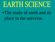# EARTH SCIENCE

•The study of earth and its place in the universe.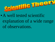

• A well tested scientific explanation of a wide range of observations.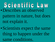Scientific Law •Describes an observed pattern in nature, but does not explain it.

•Scientists expect the same thing to happen under the same conditions.